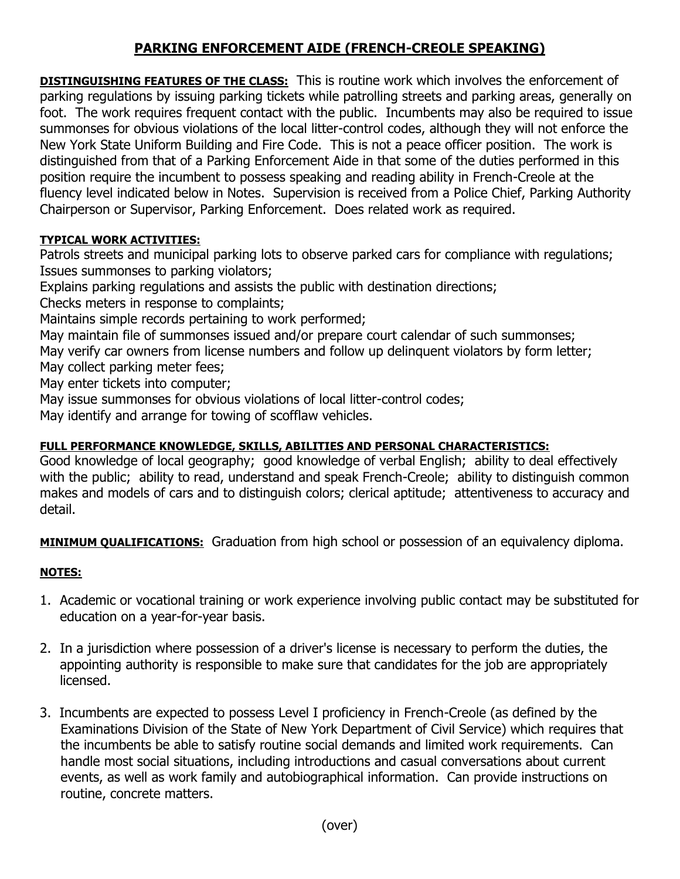## **PARKING ENFORCEMENT AIDE (FRENCH-CREOLE SPEAKING)**

**DISTINGUISHING FEATURES OF THE CLASS:** This is routine work which involves the enforcement of parking regulations by issuing parking tickets while patrolling streets and parking areas, generally on foot. The work requires frequent contact with the public. Incumbents may also be required to issue summonses for obvious violations of the local litter-control codes, although they will not enforce the New York State Uniform Building and Fire Code. This is not a peace officer position. The work is distinguished from that of a Parking Enforcement Aide in that some of the duties performed in this position require the incumbent to possess speaking and reading ability in French-Creole at the fluency level indicated below in Notes. Supervision is received from a Police Chief, Parking Authority Chairperson or Supervisor, Parking Enforcement. Does related work as required.

## **TYPICAL WORK ACTIVITIES:**

Patrols streets and municipal parking lots to observe parked cars for compliance with regulations; Issues summonses to parking violators;

Explains parking regulations and assists the public with destination directions;

Checks meters in response to complaints;

Maintains simple records pertaining to work performed;

May maintain file of summonses issued and/or prepare court calendar of such summonses;

May verify car owners from license numbers and follow up delinquent violators by form letter; May collect parking meter fees;

May enter tickets into computer;

May issue summonses for obvious violations of local litter-control codes;

May identify and arrange for towing of scofflaw vehicles.

## **FULL PERFORMANCE KNOWLEDGE, SKILLS, ABILITIES AND PERSONAL CHARACTERISTICS:**

Good knowledge of local geography; good knowledge of verbal English; ability to deal effectively with the public; ability to read, understand and speak French-Creole; ability to distinguish common makes and models of cars and to distinguish colors; clerical aptitude; attentiveness to accuracy and detail.

**MINIMUM QUALIFICATIONS:** Graduation from high school or possession of an equivalency diploma.

## **NOTES:**

- 1. Academic or vocational training or work experience involving public contact may be substituted for education on a year-for-year basis.
- 2. In a jurisdiction where possession of a driver's license is necessary to perform the duties, the appointing authority is responsible to make sure that candidates for the job are appropriately licensed.
- 3. Incumbents are expected to possess Level I proficiency in French-Creole (as defined by the Examinations Division of the State of New York Department of Civil Service) which requires that the incumbents be able to satisfy routine social demands and limited work requirements. Can handle most social situations, including introductions and casual conversations about current events, as well as work family and autobiographical information. Can provide instructions on routine, concrete matters.